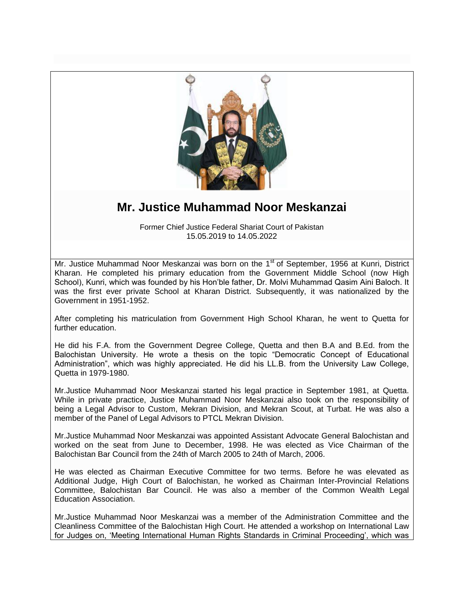

## **Mr. Justice Muhammad Noor Meskanzai**

Former Chief Justice Federal Shariat Court of Pakistan 15.05.2019 to 14.05.2022

Mr. Justice Muhammad Noor Meskanzai was born on the 1<sup>st</sup> of September, 1956 at Kunri, District Kharan. He completed his primary education from the Government Middle School (now High School), Kunri, which was founded by his Hon"ble father, Dr. Molvi Muhammad Qasim Aini Baloch. It was the first ever private School at Kharan District. Subsequently, it was nationalized by the Government in 1951-1952.

After completing his matriculation from Government High School Kharan, he went to Quetta for further education.

He did his F.A. from the Government Degree College, Quetta and then B.A and B.Ed. from the Balochistan University. He wrote a thesis on the topic "Democratic Concept of Educational Administration", which was highly appreciated. He did his LL.B. from the University Law College, Quetta in 1979-1980.

Mr.Justice Muhammad Noor Meskanzai started his legal practice in September 1981, at Quetta. While in private practice, Justice Muhammad Noor Meskanzai also took on the responsibility of being a Legal Advisor to Custom, Mekran Division, and Mekran Scout, at Turbat. He was also a member of the Panel of Legal Advisors to PTCL Mekran Division.

Mr.Justice Muhammad Noor Meskanzai was appointed Assistant Advocate General Balochistan and worked on the seat from June to December, 1998. He was elected as Vice Chairman of the Balochistan Bar Council from the 24th of March 2005 to 24th of March, 2006.

He was elected as Chairman Executive Committee for two terms. Before he was elevated as Additional Judge, High Court of Balochistan, he worked as Chairman Inter-Provincial Relations Committee, Balochistan Bar Council. He was also a member of the Common Wealth Legal Education Association.

Mr.Justice Muhammad Noor Meskanzai was a member of the Administration Committee and the Cleanliness Committee of the Balochistan High Court. He attended a workshop on International Law for Judges on, "Meeting International Human Rights Standards in Criminal Proceeding", which was